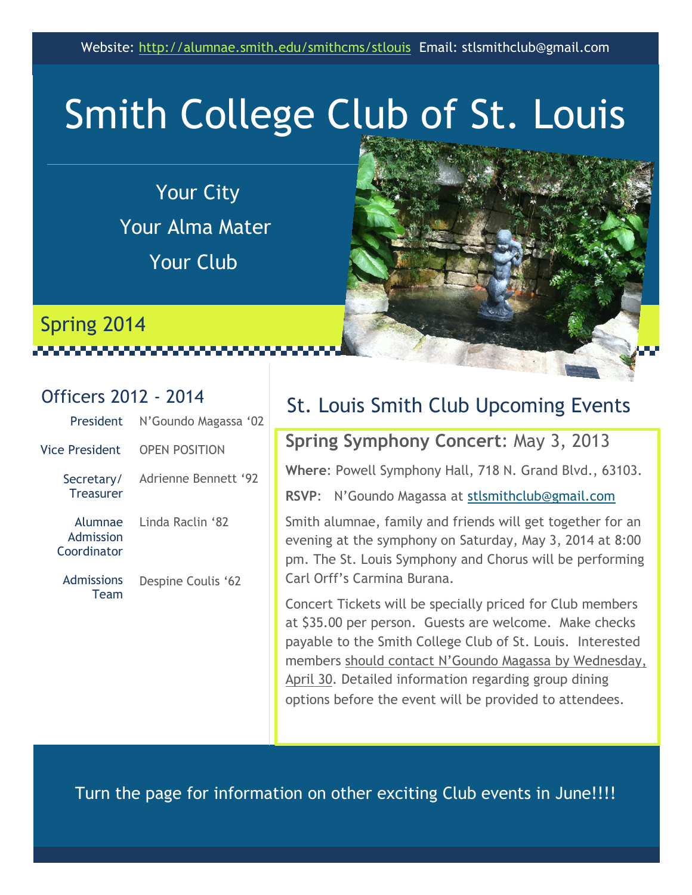# Smith College Club of St. Louis

Your City Your Alma Mater Your Club



#### Officers 2012 - 2014

Spring 2014

| <b>President</b>                    | N'Goundo Magassa '02 |
|-------------------------------------|----------------------|
| Vice President                      | <b>OPEN POSITION</b> |
| Secretary/<br><b>Treasurer</b>      | Adrienne Bennett '92 |
| Alumnae<br>Admission<br>Coordinator | Linda Raclin '82     |
| Admissions<br>Team                  | Despine Coulis '62   |
|                                     |                      |

#### St. Louis Smith Club Upcoming Events

#### **Spring Symphony Concert**: May 3, 2013

**Where**: Powell Symphony Hall, 718 N. Grand Blvd., 63103.

**RSVP**: N'Goundo Magassa at [stlsmithclub@gmail.com](mailto:stlsmithclub@gmail.com)

Smith alumnae, family and friends will get together for an evening at the symphony on Saturday, May 3, 2014 at 8:00 pm. The St. Louis Symphony and Chorus will be performing Carl Orff's Carmina Burana.

Concert Tickets will be specially priced for Club members at \$35.00 per person. Guests are welcome. Make checks payable to the Smith College Club of St. Louis. Interested members should contact N'Goundo Magassa by Wednesday, April 30. Detailed information regarding group dining options before the event will be provided to attendees.

Turn the page for information on other exciting Club events in June!!!!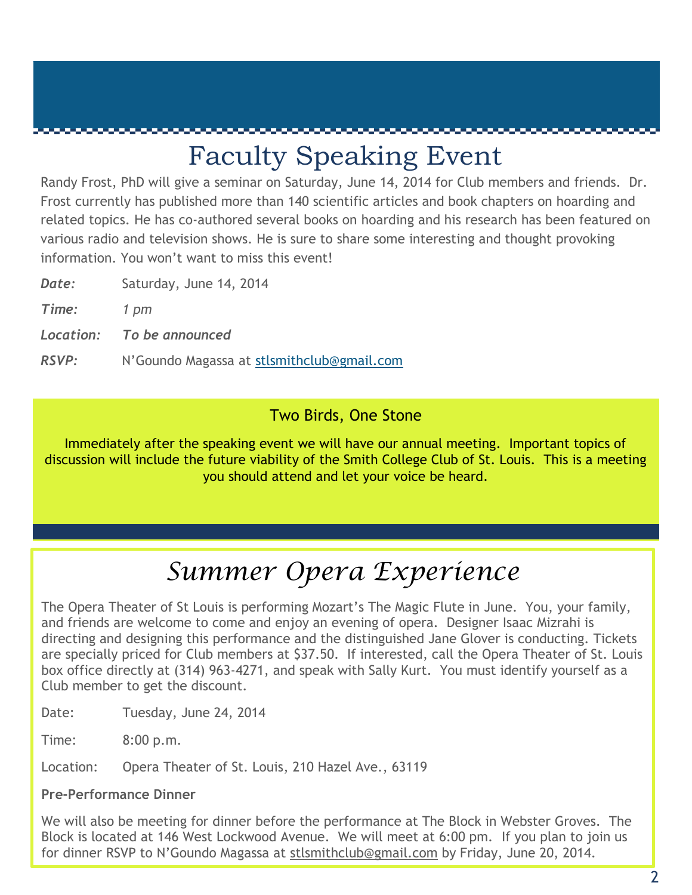### Faculty Speaking Event

Randy Frost, PhD will give a seminar on Saturday, June 14, 2014 for Club members and friends. Dr. Frost currently has published more than 140 scientific articles and book chapters on hoarding and related topics. He has co-authored several books on hoarding and his research has been featured on various radio and television shows. He is sure to share some interesting and thought provoking information. You won't want to miss this event!

| Saturday, June 14, 2014<br>Date: |
|----------------------------------|
|----------------------------------|

*Time: 1 pm* 

*Location: To be announced*

*RSVP:* N'Goundo Magassa at [stlsmithclub@gmail.com](mailto:stlsmithclub@gmail.com)

#### Two Birds, One Stone

Immediately after the speaking event we will have our annual meeting. Important topics of discussion will include the future viability of the Smith College Club of St. Louis. This is a meeting you should attend and let your voice be heard.

### *Summer Opera Experience*

The Opera Theater of St Louis is performing Mozart's The Magic Flute in June. You, your family, and friends are welcome to come and enjoy an evening of opera. Designer Isaac Mizrahi is directing and designing this performance and the distinguished Jane Glover is conducting. Tickets are specially priced for Club members at \$37.50. If interested, call the Opera Theater of St. Louis box office directly at (314) 963-4271, and speak with Sally Kurt. You must identify yourself as a Club member to get the discount.

Date: Tuesday, June 24, 2014

Time: 8:00 p.m.

Location: Opera Theater of St. Louis, 210 Hazel Ave., 63119

#### **Pre-Performance Dinner**

We will also be meeting for dinner before the performance at The Block in Webster Groves. The Block is located at 146 West Lockwood Avenue. We will meet at 6:00 pm. If you plan to join us for dinner RSVP to N'Goundo Magassa at [stlsmithclub@gmail.com](mailto:stlsmithclub@gmail.com) by Friday, June 20, 2014.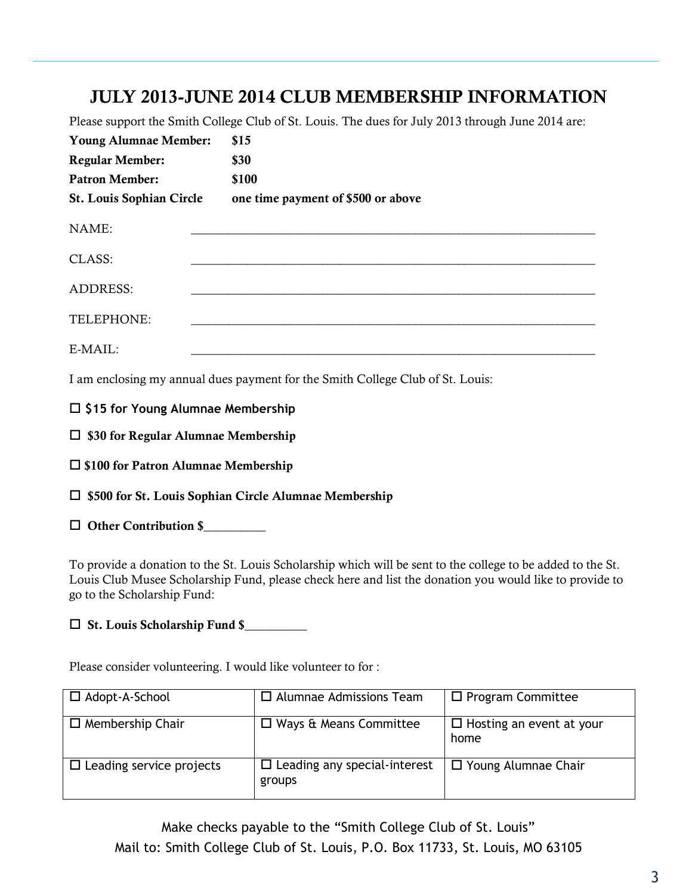#### **JULY 2013-JUNE 2014 CLUB MEMBERSHIP INFORMATION**

Please support the Smith College Club of St. Louis. The dues for July 2013 through June 2014 are:

| <b>Young Alumnae Member:</b>    | \$15                               |
|---------------------------------|------------------------------------|
| <b>Regular Member:</b>          | \$30                               |
| <b>Patron Member:</b>           | \$100                              |
| <b>St. Louis Sophian Circle</b> | one time payment of \$500 or above |
| NAME:                           |                                    |
| CLASS:                          |                                    |
| <b>ADDRESS:</b>                 |                                    |
| TELEPHONE:                      |                                    |
| E-MAIL:                         |                                    |

I am enclosing my annual dues payment for the Smith College Club of St. Louis:

**\$15 for Young Alumnae Membership**

**\$30 for Regular Alumnae Membership**

**\$100 for Patron Alumnae Membership**

**\$500 for St. Louis Sophian Circle Alumnae Membership**

**Other Contribution \$\_\_\_\_\_\_\_\_\_\_**

To provide a donation to the St. Louis Scholarship which will be sent to the college to be added to the St. Louis Club Musee Scholarship Fund, please check here and list the donation you would like to provide to go to the Scholarship Fund:

**St. Louis Scholarship Fund \$\_\_\_\_\_\_\_\_\_\_**

Please consider volunteering. I would like volunteer to for :

| $\Box$ Adopt-A-School           | $\Box$ Alumnae Admissions Team                | $\Box$ Program Committee                |
|---------------------------------|-----------------------------------------------|-----------------------------------------|
| $\Box$ Membership Chair         | $\Box$ Ways & Means Committee                 | $\Box$ Hosting an event at your<br>home |
| $\Box$ Leading service projects | $\Box$ Leading any special-interest<br>groups | $\Box$ Young Alumnae Chair              |

Make checks payable to the "Smith College Club of St. Louis" Mail to: Smith College Club of St. Louis, P.O. Box 11733, St. Louis, MO 63105